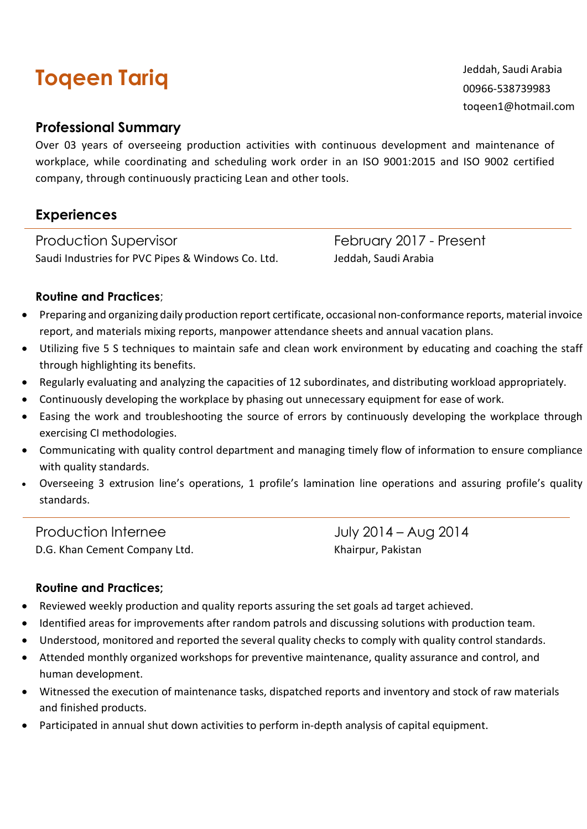# **Toqeen Tariq** Jeddah, Saudi Arabia

00966-538739983 toqeen1@hotmail.com

### **Professional Summary**

Over 03 years of overseeing production activities with continuous development and maintenance of workplace, while coordinating and scheduling work order in an ISO 9001:2015 and ISO 9002 certified company, through continuously practicing Lean and other tools.

# **Experiences**

Production Supervisor **February 2017** - Present Saudi Industries for PVC Pipes & Windows Co. Ltd. Saudi Arabia

#### **Routine and Practices**;

- Preparing and organizing daily production report certificate, occasional non-conformance reports, material invoice report, and materials mixing reports, manpower attendance sheets and annual vacation plans.
- Utilizing five 5 S techniques to maintain safe and clean work environment by educating and coaching the staff through highlighting its benefits.
- Regularly evaluating and analyzing the capacities of 12 subordinates, and distributing workload appropriately.
- Continuously developing the workplace by phasing out unnecessary equipment for ease of work.
- Easing the work and troubleshooting the source of errors by continuously developing the workplace through exercising CI methodologies.
- Communicating with quality control department and managing timely flow of information to ensure compliance with quality standards.
- Overseeing 3 extrusion line's operations, 1 profile's lamination line operations and assuring profile's quality standards.

Production Internee July 2014 – Aug 2014 D.G. Khan Cement Company Ltd. The Constanting of the Khairpur, Pakistan

#### **Routine and Practices;**

- Reviewed weekly production and quality reports assuring the set goals ad target achieved.
- Identified areas for improvements after random patrols and discussing solutions with production team.
- Understood, monitored and reported the several quality checks to comply with quality control standards.
- Attended monthly organized workshops for preventive maintenance, quality assurance and control, and human development.
- Witnessed the execution of maintenance tasks, dispatched reports and inventory and stock of raw materials and finished products.
- Participated in annual shut down activities to perform in-depth analysis of capital equipment.